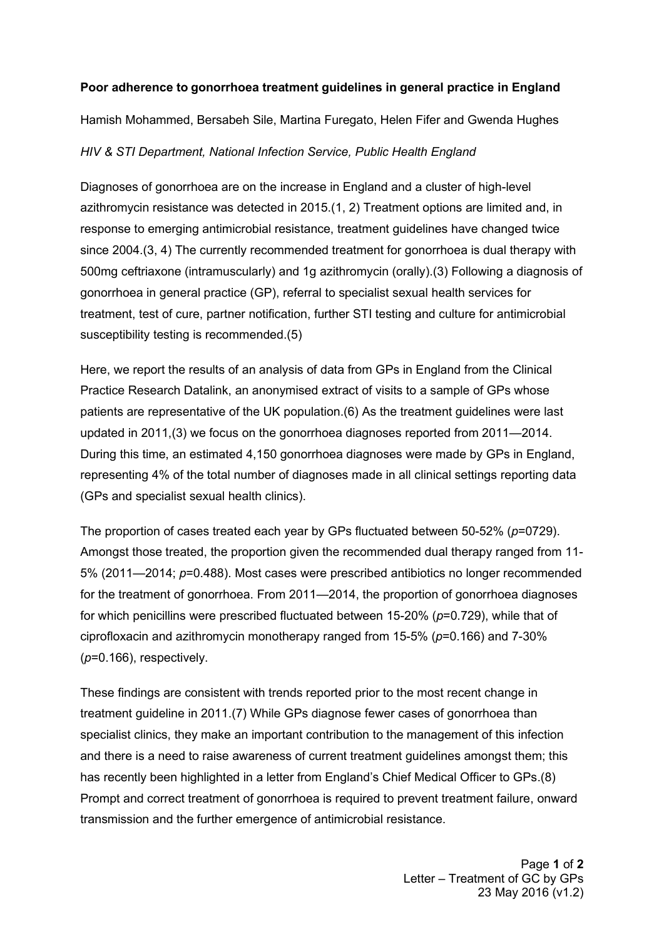## **Poor adherence to gonorrhoea treatment guidelines in general practice in England**

Hamish Mohammed, Bersabeh Sile, Martina Furegato, Helen Fifer and Gwenda Hughes

## *HIV & STI Department, National Infection Service, Public Health England*

Diagnoses of gonorrhoea are on the increase in England and a cluster of high-level azithromycin resistance was detected in 2015.(1, 2) Treatment options are limited and, in response to emerging antimicrobial resistance, treatment guidelines have changed twice since 2004.(3, 4) The currently recommended treatment for gonorrhoea is dual therapy with 500mg ceftriaxone (intramuscularly) and 1g azithromycin (orally).(3) Following a diagnosis of gonorrhoea in general practice (GP), referral to specialist sexual health services for treatment, test of cure, partner notification, further STI testing and culture for antimicrobial susceptibility testing is recommended.(5)

Here, we report the results of an analysis of data from GPs in England from the Clinical Practice Research Datalink, an anonymised extract of visits to a sample of GPs whose patients are representative of the UK population.(6) As the treatment guidelines were last updated in 2011,(3) we focus on the gonorrhoea diagnoses reported from 2011—2014. During this time, an estimated 4,150 gonorrhoea diagnoses were made by GPs in England, representing 4% of the total number of diagnoses made in all clinical settings reporting data (GPs and specialist sexual health clinics).

The proportion of cases treated each year by GPs fluctuated between 50-52% (*p*=0729). Amongst those treated, the proportion given the recommended dual therapy ranged from 11- 5% (2011—2014; *p*=0.488). Most cases were prescribed antibiotics no longer recommended for the treatment of gonorrhoea. From 2011—2014, the proportion of gonorrhoea diagnoses for which penicillins were prescribed fluctuated between 15-20% (*p*=0.729), while that of ciprofloxacin and azithromycin monotherapy ranged from 15-5% (*p*=0.166) and 7-30% (*p*=0.166), respectively.

These findings are consistent with trends reported prior to the most recent change in treatment guideline in 2011.(7) While GPs diagnose fewer cases of gonorrhoea than specialist clinics, they make an important contribution to the management of this infection and there is a need to raise awareness of current treatment guidelines amongst them; this has recently been highlighted in a letter from England's Chief Medical Officer to GPs.(8) Prompt and correct treatment of gonorrhoea is required to prevent treatment failure, onward transmission and the further emergence of antimicrobial resistance.

> Page **1** of **2** Letter – Treatment of GC by GPs 23 May 2016 (v1.2)